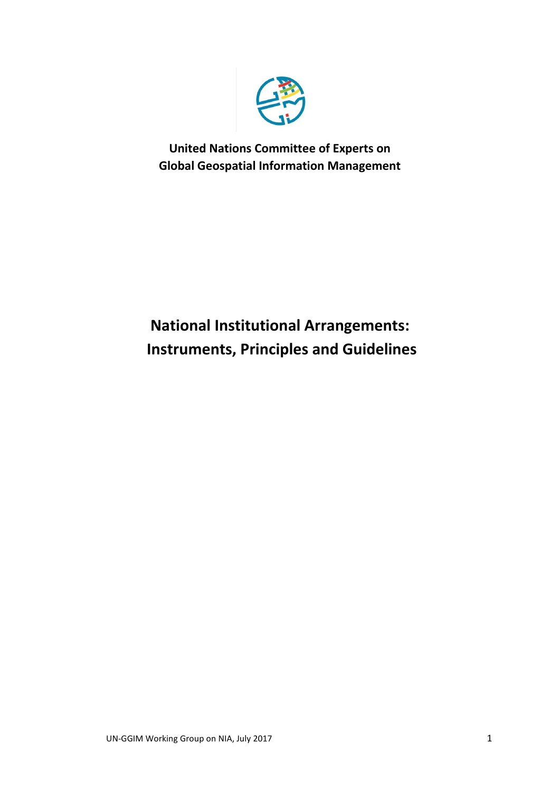

**United Nations Committee of Experts on Global Geospatial Information Management**

# **National Institutional Arrangements: Instruments, Principles and Guidelines**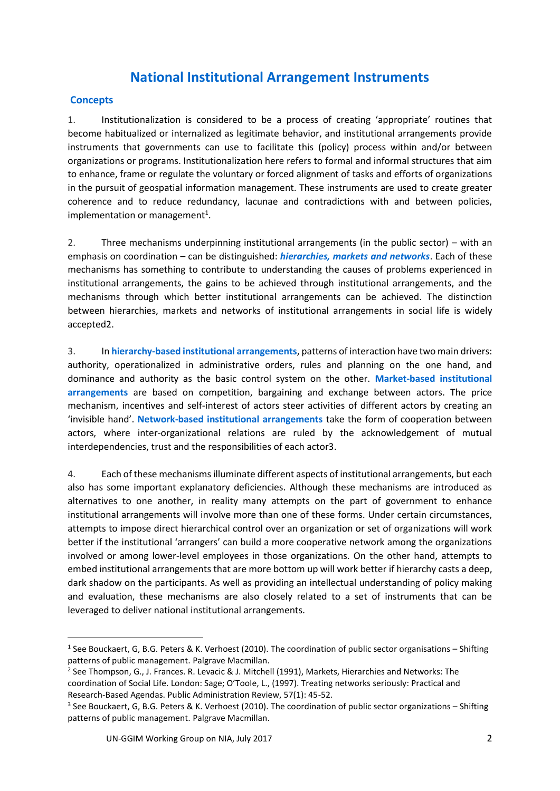### **National Institutional Arrangement Instruments**

#### **Concepts**

 $\overline{a}$ 

1. Institutionalization is considered to be a process of creating 'appropriate' routines that become habitualized or internalized as legitimate behavior, and institutional arrangements provide instruments that governments can use to facilitate this (policy) process within and/or between organizations or programs. Institutionalization here refers to formal and informal structures that aim to enhance, frame or regulate the voluntary or forced alignment of tasks and efforts of organizations in the pursuit of geospatial information management. These instruments are used to create greater coherence and to reduce redundancy, lacunae and contradictions with and between policies,  $implementation$  or management<sup>1</sup>.

2. Three mechanisms underpinning institutional arrangements (in the public sector) – with an emphasis on coordination – can be distinguished: *hierarchies, markets and networks*. Each of these mechanisms has something to contribute to understanding the causes of problems experienced in institutional arrangements, the gains to be achieved through institutional arrangements, and the mechanisms through which better institutional arrangements can be achieved. The distinction between hierarchies, markets and networks of institutional arrangements in social life is widely accepted2.

3. In **hierarchy-based institutional arrangements**, patterns of interaction have two main drivers: authority, operationalized in administrative orders, rules and planning on the one hand, and dominance and authority as the basic control system on the other. **Market-based institutional arrangements** are based on competition, bargaining and exchange between actors. The price mechanism, incentives and self-interest of actors steer activities of different actors by creating an 'invisible hand'. **Network-based institutional arrangements** take the form of cooperation between actors, where inter-organizational relations are ruled by the acknowledgement of mutual interdependencies, trust and the responsibilities of each actor3.

4. Each of these mechanisms illuminate different aspects of institutional arrangements, but each also has some important explanatory deficiencies. Although these mechanisms are introduced as alternatives to one another, in reality many attempts on the part of government to enhance institutional arrangements will involve more than one of these forms. Under certain circumstances, attempts to impose direct hierarchical control over an organization or set of organizations will work better if the institutional 'arrangers' can build a more cooperative network among the organizations involved or among lower-level employees in those organizations. On the other hand, attempts to embed institutional arrangements that are more bottom up will work better if hierarchy casts a deep, dark shadow on the participants. As well as providing an intellectual understanding of policy making and evaluation, these mechanisms are also closely related to a set of instruments that can be leveraged to deliver national institutional arrangements.

<sup>&</sup>lt;sup>1</sup> See Bouckaert, G, B.G. Peters & K. Verhoest (2010). The coordination of public sector organisations – Shifting patterns of public management. Palgrave Macmillan.

<sup>&</sup>lt;sup>2</sup> See Thompson, G., J. Frances. R. Levacic & J. Mitchell (1991), Markets, Hierarchies and Networks: The coordination of Social Life. London: Sage; O'Toole, L., (1997). Treating networks seriously: Practical and Research-Based Agendas. Public Administration Review, 57(1): 45-52.

<sup>3</sup> See Bouckaert, G, B.G. Peters & K. Verhoest (2010). The coordination of public sector organizations – Shifting patterns of public management. Palgrave Macmillan.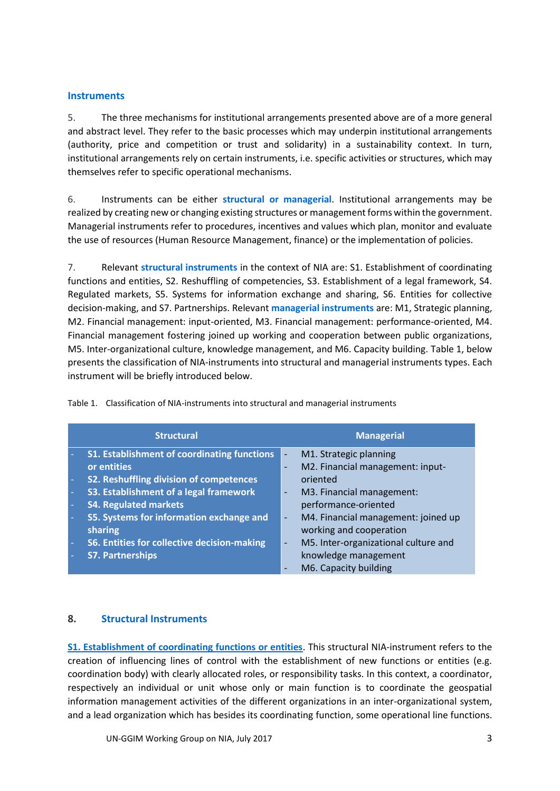#### **Instruments**

5. The three mechanisms for institutional arrangements presented above are of a more general and abstract level. They refer to the basic processes which may underpin institutional arrangements (authority, price and competition or trust and solidarity) in a sustainability context. In turn, institutional arrangements rely on certain instruments, i.e. specific activities or structures, which may themselves refer to specific operational mechanisms.

6. Instruments can be either **structural or managerial**. Institutional arrangements may be realized by creating new or changing existing structures or management forms within the government. Managerial instruments refer to procedures, incentives and values which plan, monitor and evaluate the use of resources (Human Resource Management, finance) or the implementation of policies.

7. Relevant **structural instruments** in the context of NIA are: S1. Establishment of coordinating functions and entities, S2. Reshuffling of competencies, S3. Establishment of a legal framework, S4. Regulated markets, S5. Systems for information exchange and sharing, S6. Entities for collective decision-making, and S7. Partnerships. Relevant **managerial instruments** are: M1, Strategic planning, M2. Financial management: input-oriented, M3. Financial management: performance-oriented, M4. Financial management fostering joined up working and cooperation between public organizations, M5. Inter-organizational culture, knowledge management, and M6. Capacity building. Table 1, below presents the classification of NIA-instruments into structural and managerial instruments types. Each instrument will be briefly introduced below.

| <b>Structural</b>                                                                                                                                                                                                                                                                     | <b>Managerial</b>                                                                                                                                                                                                                                                                |
|---------------------------------------------------------------------------------------------------------------------------------------------------------------------------------------------------------------------------------------------------------------------------------------|----------------------------------------------------------------------------------------------------------------------------------------------------------------------------------------------------------------------------------------------------------------------------------|
| S1. Establishment of coordinating functions<br>or entities<br>S2. Reshuffling division of competences<br>S3. Establishment of a legal framework<br><b>S4. Regulated markets</b><br>S5. Systems for information exchange and<br>sharing<br>S6. Entities for collective decision-making | M1. Strategic planning<br>÷<br>M2. Financial management: input-<br>oriented<br>M3. Financial management:<br>٠<br>performance-oriented<br>M4. Financial management: joined up<br>$\overline{\phantom{a}}$<br>working and cooperation<br>M5. Inter-organizational culture and<br>٠ |
| <b>S7. Partnerships</b>                                                                                                                                                                                                                                                               | knowledge management<br>M6. Capacity building                                                                                                                                                                                                                                    |

Table 1. Classification of NIA-instruments into structural and managerial instruments

#### **8. Structural Instruments**

**S1. Establishment of coordinating functions or entities**. This structural NIA-instrument refers to the creation of influencing lines of control with the establishment of new functions or entities (e.g. coordination body) with clearly allocated roles, or responsibility tasks. In this context, a coordinator, respectively an individual or unit whose only or main function is to coordinate the geospatial information management activities of the different organizations in an inter-organizational system, and a lead organization which has besides its coordinating function, some operational line functions.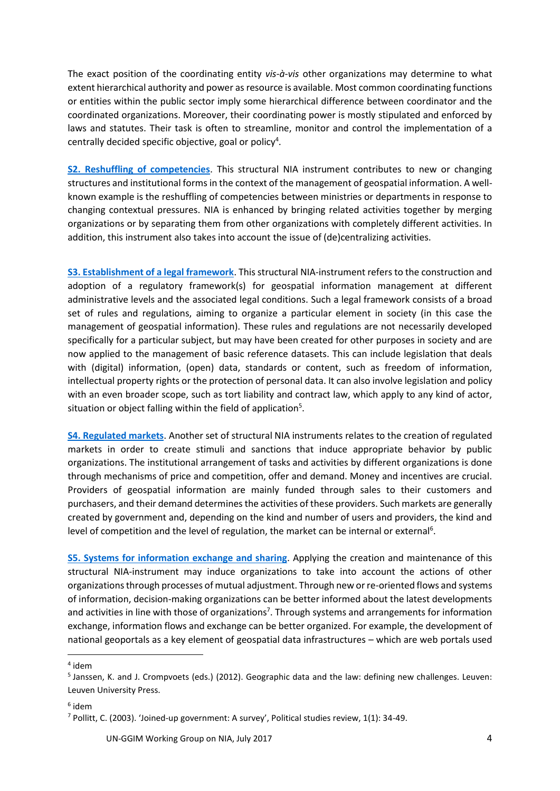The exact position of the coordinating entity *vis-à-vis* other organizations may determine to what extent hierarchical authority and power as resource is available. Most common coordinating functions or entities within the public sector imply some hierarchical difference between coordinator and the coordinated organizations. Moreover, their coordinating power is mostly stipulated and enforced by laws and statutes. Their task is often to streamline, monitor and control the implementation of a centrally decided specific objective, goal or policy<sup>4</sup>.

**S2. Reshuffling of competencies**. This structural NIA instrument contributes to new or changing structures and institutional forms in the context of the management of geospatial information. A wellknown example is the reshuffling of competencies between ministries or departments in response to changing contextual pressures. NIA is enhanced by bringing related activities together by merging organizations or by separating them from other organizations with completely different activities. In addition, this instrument also takes into account the issue of (de)centralizing activities.

**S3. Establishment of a legal framework**. This structural NIA-instrument refers to the construction and adoption of a regulatory framework(s) for geospatial information management at different administrative levels and the associated legal conditions. Such a legal framework consists of a broad set of rules and regulations, aiming to organize a particular element in society (in this case the management of geospatial information). These rules and regulations are not necessarily developed specifically for a particular subject, but may have been created for other purposes in society and are now applied to the management of basic reference datasets. This can include legislation that deals with (digital) information, (open) data, standards or content, such as freedom of information, intellectual property rights or the protection of personal data. It can also involve legislation and policy with an even broader scope, such as tort liability and contract law, which apply to any kind of actor, situation or object falling within the field of application<sup>5</sup>.

**S4. Regulated markets**. Another set of structural NIA instruments relates to the creation of regulated markets in order to create stimuli and sanctions that induce appropriate behavior by public organizations. The institutional arrangement of tasks and activities by different organizations is done through mechanisms of price and competition, offer and demand. Money and incentives are crucial. Providers of geospatial information are mainly funded through sales to their customers and purchasers, and their demand determines the activities of these providers. Such markets are generally created by government and, depending on the kind and number of users and providers, the kind and level of competition and the level of regulation, the market can be internal or external<sup>6</sup>.

**S5. Systems for information exchange and sharing**. Applying the creation and maintenance of this structural NIA-instrument may induce organizations to take into account the actions of other organizations through processes of mutual adjustment. Through new or re-oriented flows and systems of information, decision-making organizations can be better informed about the latest developments and activities in line with those of organizations<sup>7</sup>. Through systems and arrangements for information exchange, information flows and exchange can be better organized. For example, the development of national geoportals as a key element of geospatial data infrastructures – which are web portals used

**.** 

 $^6$  idem

<sup>4</sup> idem

<sup>5</sup> Janssen, K. and J. Crompvoets (eds.) (2012). Geographic data and the law: defining new challenges. Leuven: Leuven University Press.

 $<sup>7</sup>$  Pollitt, C. (2003). 'Joined-up government: A survey', Political studies review, 1(1): 34-49.</sup>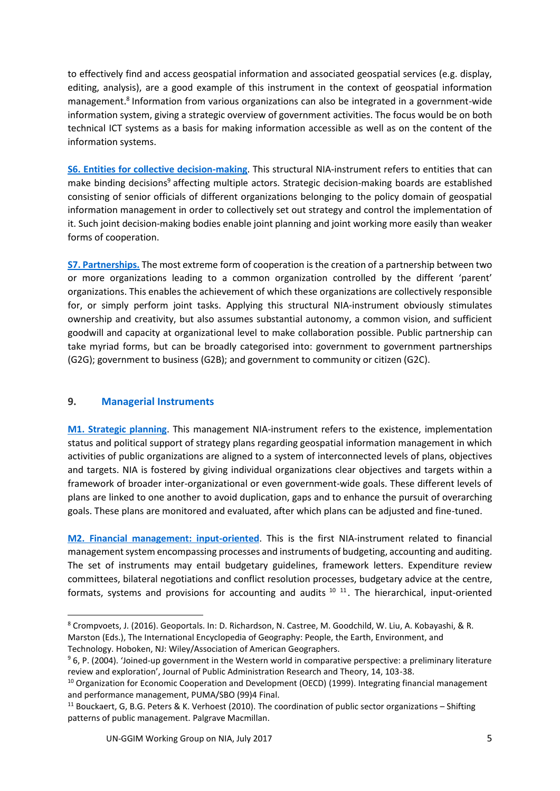to effectively find and access geospatial information and associated geospatial services (e.g. display, editing, analysis), are a good example of this instrument in the context of geospatial information management.<sup>8</sup> Information from various organizations can also be integrated in a government-wide information system, giving a strategic overview of government activities. The focus would be on both technical ICT systems as a basis for making information accessible as well as on the content of the information systems.

**S6. Entities for collective decision-making**. This structural NIA-instrument refers to entities that can make binding decisions<sup>9</sup> affecting multiple actors. Strategic decision-making boards are established consisting of senior officials of different organizations belonging to the policy domain of geospatial information management in order to collectively set out strategy and control the implementation of it. Such joint decision-making bodies enable joint planning and joint working more easily than weaker forms of cooperation.

**S7. Partnerships.** The most extreme form of cooperation is the creation of a partnership between two or more organizations leading to a common organization controlled by the different 'parent' organizations. This enables the achievement of which these organizations are collectively responsible for, or simply perform joint tasks. Applying this structural NIA-instrument obviously stimulates ownership and creativity, but also assumes substantial autonomy, a common vision, and sufficient goodwill and capacity at organizational level to make collaboration possible. Public partnership can take myriad forms, but can be broadly categorised into: government to government partnerships (G2G); government to business (G2B); and government to community or citizen (G2C).

#### **9. Managerial Instruments**

1

**M1. Strategic planning**. This management NIA-instrument refers to the existence, implementation status and political support of strategy plans regarding geospatial information management in which activities of public organizations are aligned to a system of interconnected levels of plans, objectives and targets. NIA is fostered by giving individual organizations clear objectives and targets within a framework of broader inter-organizational or even government-wide goals. These different levels of plans are linked to one another to avoid duplication, gaps and to enhance the pursuit of overarching goals. These plans are monitored and evaluated, after which plans can be adjusted and fine-tuned.

**M2. Financial management: input-oriented**. This is the first NIA-instrument related to financial management system encompassing processes and instruments of budgeting, accounting and auditing. The set of instruments may entail budgetary guidelines, framework letters. Expenditure review committees, bilateral negotiations and conflict resolution processes, budgetary advice at the centre, formats, systems and provisions for accounting and audits  $10^{-11}$ . The hierarchical, input-oriented

<sup>8</sup> Crompvoets, J. (2016). Geoportals. In: D. Richardson, N. Castree, M. Goodchild, W. Liu, A. Kobayashi, & R. Marston (Eds.), The International Encyclopedia of Geography: People, the Earth, Environment, and Technology. Hoboken, NJ: Wiley/Association of American Geographers.

<sup>9</sup> 6, P. (2004). 'Joined-up government in the Western world in comparative perspective: a preliminary literature review and exploration', Journal of Public Administration Research and Theory, 14, 103-38.

<sup>&</sup>lt;sup>10</sup> Organization for Economic Cooperation and Development (OECD) (1999). Integrating financial management and performance management, PUMA/SBO (99)4 Final.

<sup>&</sup>lt;sup>11</sup> Bouckaert, G, B.G. Peters & K. Verhoest (2010). The coordination of public sector organizations – Shifting patterns of public management. Palgrave Macmillan.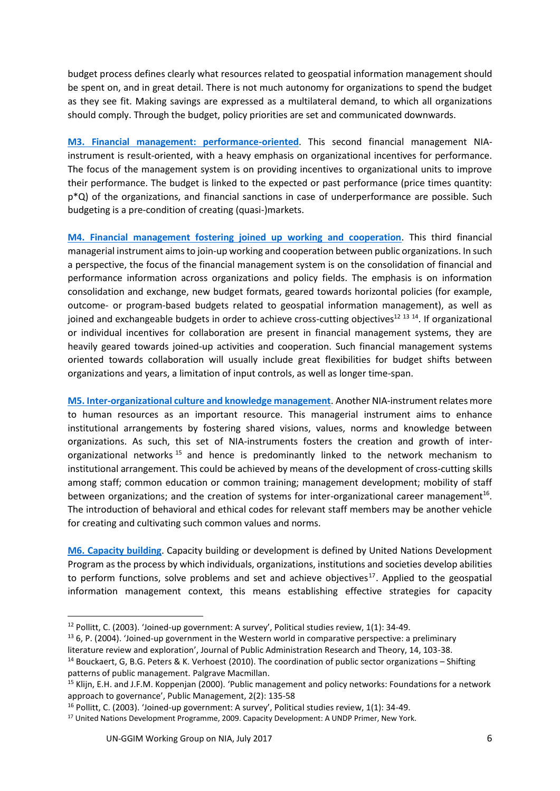budget process defines clearly what resources related to geospatial information management should be spent on, and in great detail. There is not much autonomy for organizations to spend the budget as they see fit. Making savings are expressed as a multilateral demand, to which all organizations should comply. Through the budget, policy priorities are set and communicated downwards.

**M3. Financial management: performance-oriented**. This second financial management NIAinstrument is result-oriented, with a heavy emphasis on organizational incentives for performance. The focus of the management system is on providing incentives to organizational units to improve their performance. The budget is linked to the expected or past performance (price times quantity: p\*Q) of the organizations, and financial sanctions in case of underperformance are possible. Such budgeting is a pre-condition of creating (quasi-)markets.

**M4. Financial management fostering joined up working and cooperation**. This third financial managerial instrument aims to join-up working and cooperation between public organizations. In such a perspective, the focus of the financial management system is on the consolidation of financial and performance information across organizations and policy fields. The emphasis is on information consolidation and exchange, new budget formats, geared towards horizontal policies (for example, outcome- or program-based budgets related to geospatial information management), as well as joined and exchangeable budgets in order to achieve cross-cutting objectives<sup>12 13 14</sup>. If organizational or individual incentives for collaboration are present in financial management systems, they are heavily geared towards joined-up activities and cooperation. Such financial management systems oriented towards collaboration will usually include great flexibilities for budget shifts between organizations and years, a limitation of input controls, as well as longer time-span.

**M5. Inter-organizational culture and knowledge management**. Another NIA-instrument relates more to human resources as an important resource. This managerial instrument aims to enhance institutional arrangements by fostering shared visions, values, norms and knowledge between organizations. As such, this set of NIA-instruments fosters the creation and growth of interorganizational networks <sup>15</sup> and hence is predominantly linked to the network mechanism to institutional arrangement. This could be achieved by means of the development of cross-cutting skills among staff; common education or common training; management development; mobility of staff between organizations; and the creation of systems for inter-organizational career management<sup>16</sup>. The introduction of behavioral and ethical codes for relevant staff members may be another vehicle for creating and cultivating such common values and norms.

**M6. Capacity building**. Capacity building or development is defined by United Nations Development Program as the process by which individuals, organizations, institutions and societies develop abilities to perform functions, solve problems and set and achieve objectives<sup>17</sup>. Applied to the geospatial information management context, this means establishing effective strategies for capacity

 $13$  6, P. (2004). 'Joined-up government in the Western world in comparative perspective: a preliminary literature review and exploration', Journal of Public Administration Research and Theory, 14, 103-38.

**.** 

<sup>12</sup> Pollitt, C. (2003). 'Joined-up government: A survey', Political studies review, 1(1): 34-49.

<sup>14</sup> Bouckaert, G, B.G. Peters & K. Verhoest (2010). The coordination of public sector organizations – Shifting patterns of public management. Palgrave Macmillan.

<sup>15</sup> Klijn, E.H. and J.F.M. Koppenjan (2000). 'Public management and policy networks: Foundations for a network approach to governance', Public Management, 2(2): 135-58

<sup>&</sup>lt;sup>16</sup> Pollitt, C. (2003). 'Joined-up government: A survey', Political studies review, 1(1): 34-49.

<sup>&</sup>lt;sup>17</sup> United Nations Development Programme, 2009. Capacity Development: A UNDP Primer, New York.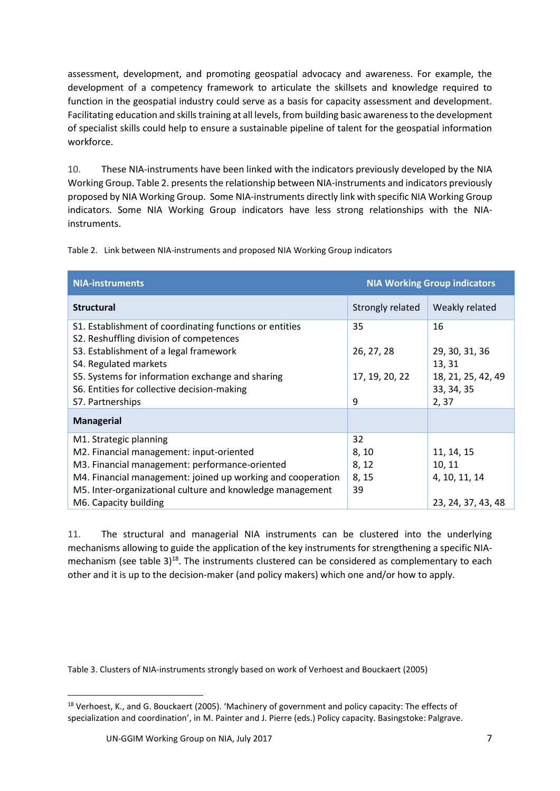assessment, development, and promoting geospatial advocacy and awareness. For example, the development of a competency framework to articulate the skillsets and knowledge required to function in the geospatial industry could serve as a basis for capacity assessment and development. Facilitating education and skills training at all levels, from building basic awareness to the development of specialist skills could help to ensure a sustainable pipeline of talent for the geospatial information workforce.

10. These NIA-instruments have been linked with the indicators previously developed by the NIA Working Group. Table 2. presents the relationship between NIA-instruments and indicators previously proposed by NIA Working Group. Some NIA-instruments directly link with specific NIA Working Group indicators. Some NIA Working Group indicators have less strong relationships with the NIAinstruments.

| <b>NIA-instruments</b>                                                                             |                  | <b>NIA Working Group indicators</b> |
|----------------------------------------------------------------------------------------------------|------------------|-------------------------------------|
| <b>Structural</b>                                                                                  | Strongly related | Weakly related                      |
| S1. Establishment of coordinating functions or entities<br>S2. Reshuffling division of competences | 35               | 16                                  |
| S3. Establishment of a legal framework<br>S4. Regulated markets                                    | 26, 27, 28       | 29, 30, 31, 36<br>13, 31            |
| S5. Systems for information exchange and sharing<br>S6. Entities for collective decision-making    | 17, 19, 20, 22   | 18, 21, 25, 42, 49<br>33, 34, 35    |
| S7. Partnerships                                                                                   | 9                | 2,37                                |
| <b>Managerial</b>                                                                                  |                  |                                     |
| M1. Strategic planning                                                                             | 32               |                                     |
| M2. Financial management: input-oriented                                                           | 8, 10            | 11, 14, 15                          |
| M3. Financial management: performance-oriented                                                     | 8, 12            | 10, 11                              |
| M4. Financial management: joined up working and cooperation                                        | 8, 15            | 4, 10, 11, 14                       |
| M5. Inter-organizational culture and knowledge management                                          | 39               |                                     |
| M6. Capacity building                                                                              |                  | 23, 24, 37, 43, 48                  |

Table 2. Link between NIA-instruments and proposed NIA Working Group indicators

11. The structural and managerial NIA instruments can be clustered into the underlying mechanisms allowing to guide the application of the key instruments for strengthening a specific NIAmechanism (see table 3)<sup>18</sup>. The instruments clustered can be considered as complementary to each other and it is up to the decision-maker (and policy makers) which one and/or how to apply.

Table 3. Clusters of NIA-instruments strongly based on work of Verhoest and Bouckaert (2005)

1

<sup>&</sup>lt;sup>18</sup> Verhoest, K., and G. Bouckaert (2005). 'Machinery of government and policy capacity: The effects of specialization and coordination', in M. Painter and J. Pierre (eds.) Policy capacity. Basingstoke: Palgrave.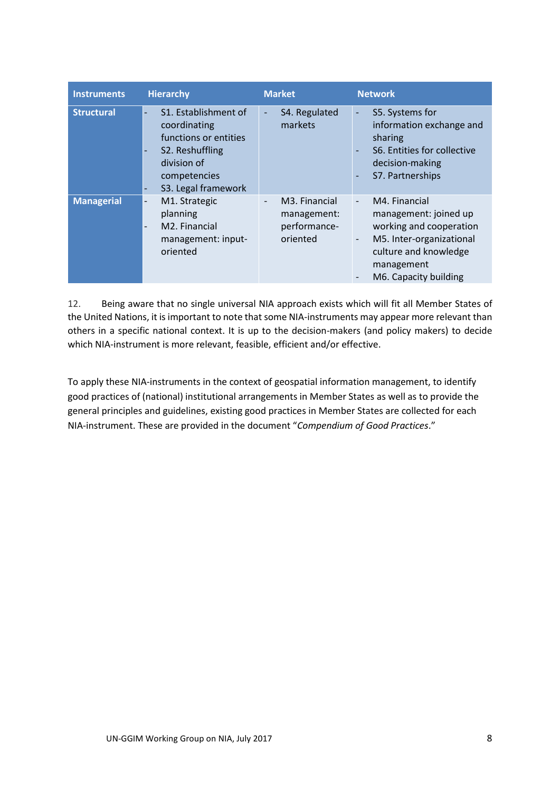| <b>Instruments</b> | <b>Hierarchy</b>                                                                                                                                  | <b>Market</b>                                                         | <b>Network</b>                                                                                                                                                                            |
|--------------------|---------------------------------------------------------------------------------------------------------------------------------------------------|-----------------------------------------------------------------------|-------------------------------------------------------------------------------------------------------------------------------------------------------------------------------------------|
| <b>Structural</b>  | S1. Establishment of<br>coordinating<br>functions or entities<br>S2. Reshuffling<br>division of<br>competencies<br>S3. Legal framework            | S4. Regulated<br>$\overline{\phantom{a}}$<br>markets                  | S5. Systems for<br>$\qquad \qquad \blacksquare$<br>information exchange and<br>sharing<br>S6. Entities for collective<br>decision-making<br>S7. Partnerships                              |
| <b>Managerial</b>  | M1. Strategic<br>$\overline{\phantom{a}}$<br>planning<br>M <sub>2</sub> . Financial<br>$\overline{\phantom{a}}$<br>management: input-<br>oriented | M <sub>3</sub> . Financial<br>management:<br>performance-<br>oriented | M4. Financial<br>management: joined up<br>working and cooperation<br>M5. Inter-organizational<br>$\overline{\phantom{a}}$<br>culture and knowledge<br>management<br>M6. Capacity building |

12. Being aware that no single universal NIA approach exists which will fit all Member States of the United Nations, it is important to note that some NIA-instruments may appear more relevant than others in a specific national context. It is up to the decision-makers (and policy makers) to decide which NIA-instrument is more relevant, feasible, efficient and/or effective.

To apply these NIA-instruments in the context of geospatial information management, to identify good practices of (national) institutional arrangements in Member States as well as to provide the general principles and guidelines, existing good practices in Member States are collected for each NIA-instrument. These are provided in the document "*Compendium of Good Practices*."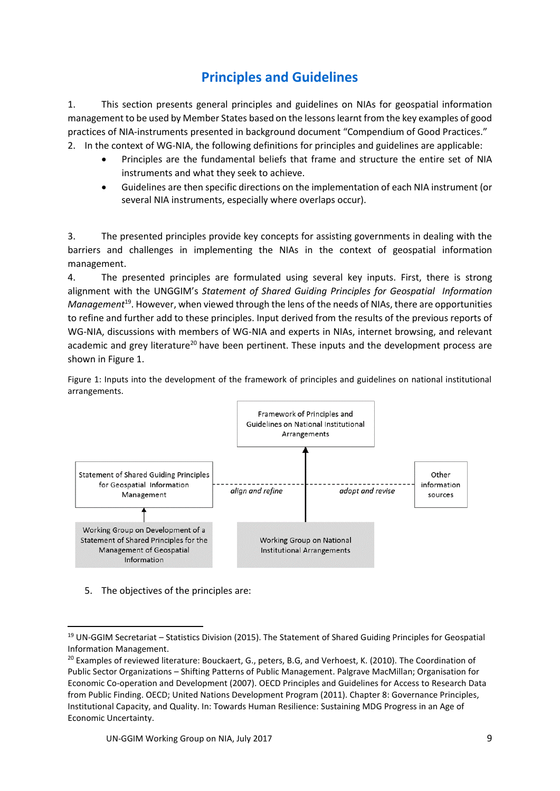### **Principles and Guidelines**

1. This section presents general principles and guidelines on NIAs for geospatial information management to be used by Member States based on the lessons learnt from the key examples of good practices of NIA-instruments presented in background document "Compendium of Good Practices." 2. In the context of WG-NIA, the following definitions for principles and guidelines are applicable:

- Principles are the fundamental beliefs that frame and structure the entire set of NIA instruments and what they seek to achieve.
- Guidelines are then specific directions on the implementation of each NIA instrument (or several NIA instruments, especially where overlaps occur).

3. The presented principles provide key concepts for assisting governments in dealing with the barriers and challenges in implementing the NIAs in the context of geospatial information management.

4. The presented principles are formulated using several key inputs. First, there is strong alignment with the UNGGIM's *Statement of Shared Guiding Principles for Geospatial Information Management*<sup>19</sup>. However, when viewed through the lens of the needs of NIAs, there are opportunities to refine and further add to these principles. Input derived from the results of the previous reports of WG-NIA, discussions with members of WG-NIA and experts in NIAs, internet browsing, and relevant academic and grey literature<sup>20</sup> have been pertinent. These inputs and the development process are shown in Figure 1.

Figure 1: Inputs into the development of the framework of principles and guidelines on national institutional arrangements.



5. The objectives of the principles are:

**.** 

<sup>19</sup> UN-GGIM Secretariat – Statistics Division (2015). The Statement of Shared Guiding Principles for Geospatial Information Management.

<sup>&</sup>lt;sup>20</sup> Examples of reviewed literature: Bouckaert, G., peters, B.G, and Verhoest, K. (2010). The Coordination of Public Sector Organizations – Shifting Patterns of Public Management. Palgrave MacMillan; Organisation for Economic Co-operation and Development (2007). OECD Principles and Guidelines for Access to Research Data from Public Finding. OECD; United Nations Development Program (2011). Chapter 8: Governance Principles, Institutional Capacity, and Quality. In: Towards Human Resilience: Sustaining MDG Progress in an Age of Economic Uncertainty.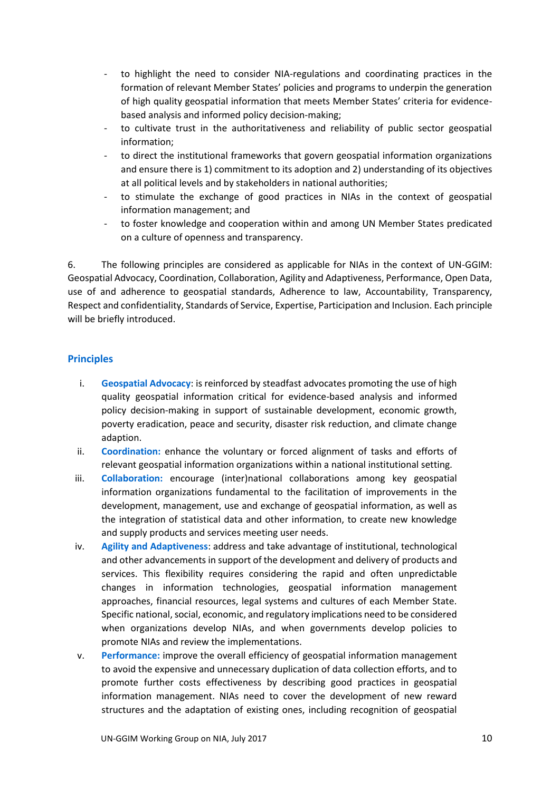- to highlight the need to consider NIA-regulations and coordinating practices in the formation of relevant Member States' policies and programs to underpin the generation of high quality geospatial information that meets Member States' criteria for evidencebased analysis and informed policy decision-making;
- to cultivate trust in the authoritativeness and reliability of public sector geospatial information;
- to direct the institutional frameworks that govern geospatial information organizations and ensure there is 1) commitment to its adoption and 2) understanding of its objectives at all political levels and by stakeholders in national authorities;
- to stimulate the exchange of good practices in NIAs in the context of geospatial information management; and
- to foster knowledge and cooperation within and among UN Member States predicated on a culture of openness and transparency.

6. The following principles are considered as applicable for NIAs in the context of UN-GGIM: Geospatial Advocacy, Coordination, Collaboration, Agility and Adaptiveness, Performance, Open Data, use of and adherence to geospatial standards, Adherence to law, Accountability, Transparency, Respect and confidentiality, Standards of Service, Expertise, Participation and Inclusion. Each principle will be briefly introduced.

#### **Principles**

- i. **Geospatial Advocacy**: is reinforced by steadfast advocates promoting the use of high quality geospatial information critical for evidence-based analysis and informed policy decision-making in support of sustainable development, economic growth, poverty eradication, peace and security, disaster risk reduction, and climate change adaption.
- ii. **Coordination:** enhance the voluntary or forced alignment of tasks and efforts of relevant geospatial information organizations within a national institutional setting.
- iii. **Collaboration:** encourage (inter)national collaborations among key geospatial information organizations fundamental to the facilitation of improvements in the development, management, use and exchange of geospatial information, as well as the integration of statistical data and other information, to create new knowledge and supply products and services meeting user needs.
- iv. **Agility and Adaptiveness**: address and take advantage of institutional, technological and other advancements in support of the development and delivery of products and services. This flexibility requires considering the rapid and often unpredictable changes in information technologies, geospatial information management approaches, financial resources, legal systems and cultures of each Member State. Specific national, social, economic, and regulatory implications need to be considered when organizations develop NIAs, and when governments develop policies to promote NIAs and review the implementations.
- v. **Performance:** improve the overall efficiency of geospatial information management to avoid the expensive and unnecessary duplication of data collection efforts, and to promote further costs effectiveness by describing good practices in geospatial information management. NIAs need to cover the development of new reward structures and the adaptation of existing ones, including recognition of geospatial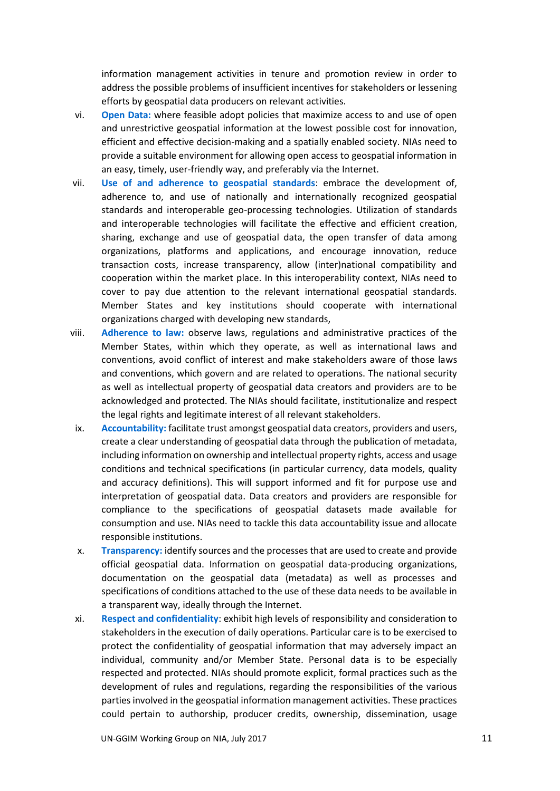information management activities in tenure and promotion review in order to address the possible problems of insufficient incentives for stakeholders or lessening efforts by geospatial data producers on relevant activities.

- vi. **Open Data:** where feasible adopt policies that maximize access to and use of open and unrestrictive geospatial information at the lowest possible cost for innovation, efficient and effective decision-making and a spatially enabled society. NIAs need to provide a suitable environment for allowing open access to geospatial information in an easy, timely, user-friendly way, and preferably via the Internet.
- vii. **Use of and adherence to geospatial standards**: embrace the development of, adherence to, and use of nationally and internationally recognized geospatial standards and interoperable geo-processing technologies. Utilization of standards and interoperable technologies will facilitate the effective and efficient creation, sharing, exchange and use of geospatial data, the open transfer of data among organizations, platforms and applications, and encourage innovation, reduce transaction costs, increase transparency, allow (inter)national compatibility and cooperation within the market place. In this interoperability context, NIAs need to cover to pay due attention to the relevant international geospatial standards. Member States and key institutions should cooperate with international organizations charged with developing new standards,
- viii. **Adherence to law:** observe laws, regulations and administrative practices of the Member States, within which they operate, as well as international laws and conventions, avoid conflict of interest and make stakeholders aware of those laws and conventions, which govern and are related to operations. The national security as well as intellectual property of geospatial data creators and providers are to be acknowledged and protected. The NIAs should facilitate, institutionalize and respect the legal rights and legitimate interest of all relevant stakeholders.
- ix. **Accountability:** facilitate trust amongst geospatial data creators, providers and users, create a clear understanding of geospatial data through the publication of metadata, including information on ownership and intellectual property rights, access and usage conditions and technical specifications (in particular currency, data models, quality and accuracy definitions). This will support informed and fit for purpose use and interpretation of geospatial data. Data creators and providers are responsible for compliance to the specifications of geospatial datasets made available for consumption and use. NIAs need to tackle this data accountability issue and allocate responsible institutions.
- x. **Transparency:** identify sources and the processes that are used to create and provide official geospatial data. Information on geospatial data-producing organizations, documentation on the geospatial data (metadata) as well as processes and specifications of conditions attached to the use of these data needs to be available in a transparent way, ideally through the Internet.
- xi. **Respect and confidentiality**: exhibit high levels of responsibility and consideration to stakeholders in the execution of daily operations. Particular care is to be exercised to protect the confidentiality of geospatial information that may adversely impact an individual, community and/or Member State. Personal data is to be especially respected and protected. NIAs should promote explicit, formal practices such as the development of rules and regulations, regarding the responsibilities of the various parties involved in the geospatial information management activities. These practices could pertain to authorship, producer credits, ownership, dissemination, usage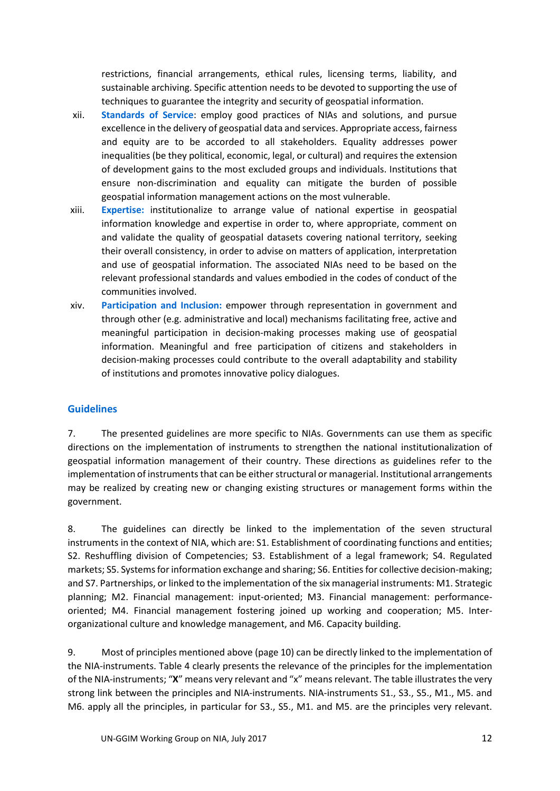restrictions, financial arrangements, ethical rules, licensing terms, liability, and sustainable archiving. Specific attention needs to be devoted to supporting the use of techniques to guarantee the integrity and security of geospatial information.

- xii. **Standards of Service**: employ good practices of NIAs and solutions, and pursue excellence in the delivery of geospatial data and services. Appropriate access, fairness and equity are to be accorded to all stakeholders. Equality addresses power inequalities (be they political, economic, legal, or cultural) and requires the extension of development gains to the most excluded groups and individuals. Institutions that ensure non-discrimination and equality can mitigate the burden of possible geospatial information management actions on the most vulnerable.
- xiii. **Expertise:** institutionalize to arrange value of national expertise in geospatial information knowledge and expertise in order to, where appropriate, comment on and validate the quality of geospatial datasets covering national territory, seeking their overall consistency, in order to advise on matters of application, interpretation and use of geospatial information. The associated NIAs need to be based on the relevant professional standards and values embodied in the codes of conduct of the communities involved.
- xiv. **Participation and Inclusion:** empower through representation in government and through other (e.g. administrative and local) mechanisms facilitating free, active and meaningful participation in decision-making processes making use of geospatial information. Meaningful and free participation of citizens and stakeholders in decision-making processes could contribute to the overall adaptability and stability of institutions and promotes innovative policy dialogues.

#### **Guidelines**

7. The presented guidelines are more specific to NIAs. Governments can use them as specific directions on the implementation of instruments to strengthen the national institutionalization of geospatial information management of their country. These directions as guidelines refer to the implementation of instruments that can be either structural or managerial. Institutional arrangements may be realized by creating new or changing existing structures or management forms within the government.

8. The guidelines can directly be linked to the implementation of the seven structural instruments in the context of NIA, which are: S1. Establishment of coordinating functions and entities; S2. Reshuffling division of Competencies; S3. Establishment of a legal framework; S4. Regulated markets; S5. Systems for information exchange and sharing; S6. Entities for collective decision-making; and S7. Partnerships, or linked to the implementation of the six managerial instruments: M1. Strategic planning; M2. Financial management: input-oriented; M3. Financial management: performanceoriented; M4. Financial management fostering joined up working and cooperation; M5. Interorganizational culture and knowledge management, and M6. Capacity building.

9. Most of principles mentioned above (page 10) can be directly linked to the implementation of the NIA-instruments. Table 4 clearly presents the relevance of the principles for the implementation of the NIA-instruments; "**X**" means very relevant and "x" means relevant. The table illustrates the very strong link between the principles and NIA-instruments. NIA-instruments S1., S3., S5., M1., M5. and M6. apply all the principles, in particular for S3., S5., M1. and M5. are the principles very relevant.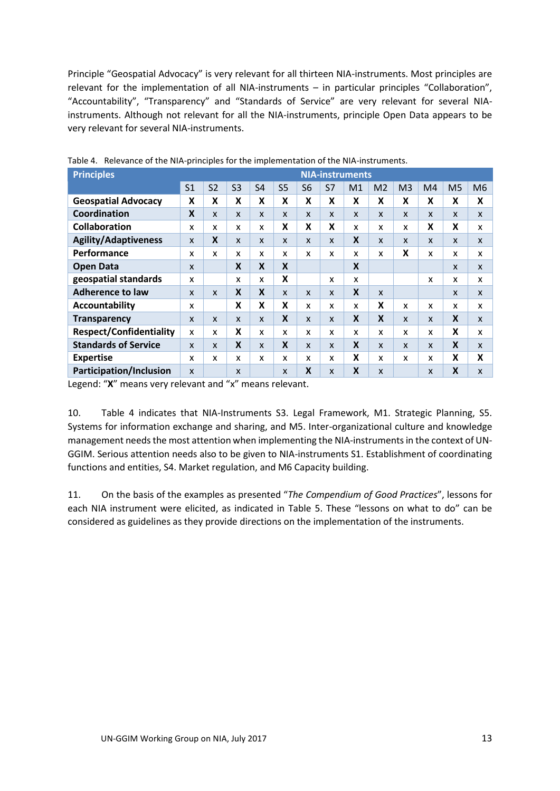Principle "Geospatial Advocacy" is very relevant for all thirteen NIA-instruments. Most principles are relevant for the implementation of all NIA-instruments – in particular principles "Collaboration", "Accountability", "Transparency" and "Standards of Service" are very relevant for several NIAinstruments. Although not relevant for all the NIA-instruments, principle Open Data appears to be very relevant for several NIA-instruments.

| <b>Principles</b>              | <b>NIA-instruments</b>    |                |                |                           |                |                           |              |                           |                |                |                           |                |                           |
|--------------------------------|---------------------------|----------------|----------------|---------------------------|----------------|---------------------------|--------------|---------------------------|----------------|----------------|---------------------------|----------------|---------------------------|
|                                | S <sub>1</sub>            | S <sub>2</sub> | S <sub>3</sub> | S4                        | S <sub>5</sub> | S <sub>6</sub>            | S7           | M <sub>1</sub>            | M <sub>2</sub> | M <sub>3</sub> | M4                        | M <sub>5</sub> | M <sub>6</sub>            |
| <b>Geospatial Advocacy</b>     | X                         | X              | X              | X                         | X              | X                         | X            | X                         | X              | X              | X                         | X              | Χ                         |
| <b>Coordination</b>            | X                         | X              | X              | X                         | x              | $\boldsymbol{\mathsf{x}}$ | X            | $\boldsymbol{\mathsf{x}}$ | X              | $\mathsf{x}$   | X                         | X              | X                         |
| <b>Collaboration</b>           | X                         | x              | x              | x                         | Χ              | X                         | X            | X                         | x              | x              | X                         | X              | X                         |
| <b>Agility/Adaptiveness</b>    | $\mathsf{x}$              | X              | X              | X                         | X              | $\boldsymbol{\mathsf{x}}$ | $\mathsf{x}$ | X                         | X              | X              | X                         | X              | X                         |
| Performance                    | X                         | X              | X              | X                         | x              | x                         | x            | X                         | X              | X              | X                         | x              | X                         |
| <b>Open Data</b>               | $\mathsf{x}$              |                | X              | $\boldsymbol{X}$          | X              |                           |              | X                         |                |                |                           | X              | $\boldsymbol{\mathsf{x}}$ |
| geospatial standards           | X                         |                | X              | x                         | X              |                           | x            | X                         |                |                | X                         | x              | X                         |
| <b>Adherence to law</b>        | $\mathsf{x}$              | $\mathsf{x}$   | X              | X                         | X              | $\boldsymbol{\mathsf{x}}$ | X            | X                         | $\mathsf{x}$   |                |                           | X              | X                         |
| Accountability                 | X                         |                | X              | X                         | X              | X                         | x            | X                         | X              | x              | X                         | x              | x                         |
| <b>Transparency</b>            | $\mathsf{x}$              | X              | X              | X                         | X              | $\boldsymbol{\mathsf{x}}$ | X            | X                         | X              | $\mathsf{x}$   | $\mathsf{x}$              | X              | $\boldsymbol{\mathsf{x}}$ |
| <b>Respect/Confidentiality</b> | X                         | X              | X              | X                         | x              | X                         | x            | X                         | x              | x              | X                         | X              | X                         |
| <b>Standards of Service</b>    | $\mathsf{x}$              | X              | X              | $\boldsymbol{\mathsf{x}}$ | X              | $\boldsymbol{\mathsf{x}}$ | $\mathsf{x}$ | $\boldsymbol{\mathsf{x}}$ | X              | $\mathsf{x}$   | X                         | X              | $\boldsymbol{\mathsf{x}}$ |
| <b>Expertise</b>               | X                         | x              | x              | x                         | x              | X                         | x            | X                         | x              | x              | X                         | X              | X                         |
| Participation/Inclusion        | $\boldsymbol{\mathsf{x}}$ |                | X              |                           | X              | X                         | $\mathsf{x}$ | X                         | X              |                | $\boldsymbol{\mathsf{x}}$ | X              | $\boldsymbol{\mathsf{x}}$ |

Table 4. Relevance of the NIA-principles for the implementation of the NIA-instruments.

Legend: "**X**" means very relevant and "x" means relevant.

10. Table 4 indicates that NIA-Instruments S3. Legal Framework, M1. Strategic Planning, S5. Systems for information exchange and sharing, and M5. Inter-organizational culture and knowledge management needs the most attention when implementing the NIA-instruments in the context of UN-GGIM. Serious attention needs also to be given to NIA-instruments S1. Establishment of coordinating functions and entities, S4. Market regulation, and M6 Capacity building.

11. On the basis of the examples as presented "*The Compendium of Good Practices*", lessons for each NIA instrument were elicited, as indicated in Table 5. These "lessons on what to do" can be considered as guidelines as they provide directions on the implementation of the instruments.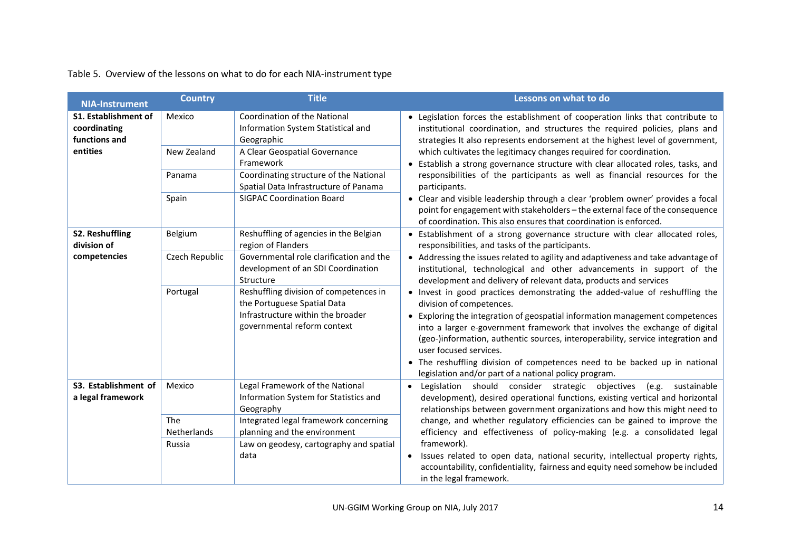| <b>NIA-Instrument</b>                                 | <b>Country</b>                                                                                  | <b>Title</b>                                                                                               | Lessons on what to do                                                                                                                                                                                                                                                   |  |  |  |  |
|-------------------------------------------------------|-------------------------------------------------------------------------------------------------|------------------------------------------------------------------------------------------------------------|-------------------------------------------------------------------------------------------------------------------------------------------------------------------------------------------------------------------------------------------------------------------------|--|--|--|--|
| S1. Establishment of<br>coordinating<br>functions and | Mexico                                                                                          | Coordination of the National<br>Information System Statistical and<br>Geographic                           | • Legislation forces the establishment of cooperation links that contribute to<br>institutional coordination, and structures the required policies, plans and<br>strategies It also represents endorsement at the highest level of government,                          |  |  |  |  |
| entities                                              | New Zealand                                                                                     | A Clear Geospatial Governance<br>Framework                                                                 | which cultivates the legitimacy changes required for coordination.<br>• Establish a strong governance structure with clear allocated roles, tasks, and                                                                                                                  |  |  |  |  |
|                                                       | Panama                                                                                          | Coordinating structure of the National<br>Spatial Data Infrastructure of Panama                            | responsibilities of the participants as well as financial resources for the<br>participants.                                                                                                                                                                            |  |  |  |  |
|                                                       | Spain                                                                                           | <b>SIGPAC Coordination Board</b>                                                                           | • Clear and visible leadership through a clear 'problem owner' provides a focal<br>point for engagement with stakeholders - the external face of the consequence<br>of coordination. This also ensures that coordination is enforced.                                   |  |  |  |  |
| <b>S2. Reshuffling</b><br>division of                 | Belgium                                                                                         | Reshuffling of agencies in the Belgian<br>region of Flanders                                               | • Establishment of a strong governance structure with clear allocated roles,<br>responsibilities, and tasks of the participants.                                                                                                                                        |  |  |  |  |
| competencies                                          | Czech Republic                                                                                  | Governmental role clarification and the<br>development of an SDI Coordination<br>Structure                 | • Addressing the issues related to agility and adaptiveness and take advantage of<br>institutional, technological and other advancements in support of the<br>development and delivery of relevant data, products and services                                          |  |  |  |  |
|                                                       | Portugal                                                                                        | Reshuffling division of competences in<br>the Portuguese Spatial Data<br>Infrastructure within the broader | • Invest in good practices demonstrating the added-value of reshuffling the<br>division of competences.                                                                                                                                                                 |  |  |  |  |
|                                                       |                                                                                                 | governmental reform context                                                                                | • Exploring the integration of geospatial information management competences<br>into a larger e-government framework that involves the exchange of digital<br>(geo-)information, authentic sources, interoperability, service integration and<br>user focused services. |  |  |  |  |
|                                                       |                                                                                                 |                                                                                                            | • The reshuffling division of competences need to be backed up in national<br>legislation and/or part of a national policy program.                                                                                                                                     |  |  |  |  |
| S3. Establishment of<br>a legal framework             | Legal Framework of the National<br>Mexico<br>Information System for Statistics and<br>Geography |                                                                                                            | Legislation should consider strategic objectives<br>(e.g.<br>sustainable<br>$\bullet$<br>development), desired operational functions, existing vertical and horizontal<br>relationships between government organizations and how this might need to                     |  |  |  |  |
|                                                       | The<br>Netherlands                                                                              | Integrated legal framework concerning<br>planning and the environment                                      | change, and whether regulatory efficiencies can be gained to improve the<br>efficiency and effectiveness of policy-making (e.g. a consolidated legal                                                                                                                    |  |  |  |  |
|                                                       | Russia                                                                                          | Law on geodesy, cartography and spatial<br>data                                                            | framework).<br>Issues related to open data, national security, intellectual property rights,<br>accountability, confidentiality, fairness and equity need somehow be included<br>in the legal framework.                                                                |  |  |  |  |

#### Table 5. Overview of the lessons on what to do for each NIA-instrument type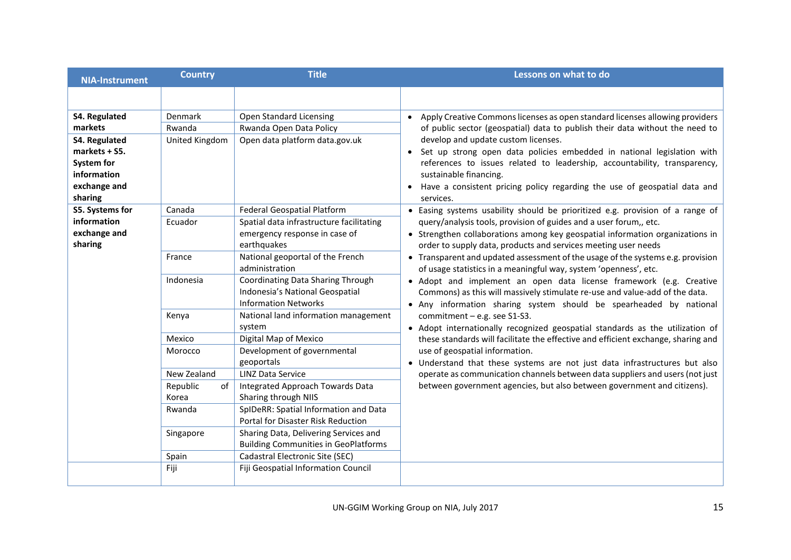| <b>NIA-Instrument</b> | <b>Country</b> | <b>Title</b>                                       | Lessons on what to do                                                                                                                   |  |  |  |  |
|-----------------------|----------------|----------------------------------------------------|-----------------------------------------------------------------------------------------------------------------------------------------|--|--|--|--|
|                       |                |                                                    |                                                                                                                                         |  |  |  |  |
| <b>S4. Regulated</b>  | Denmark        | <b>Open Standard Licensing</b>                     | • Apply Creative Commons licenses as open standard licenses allowing providers                                                          |  |  |  |  |
| markets               | Rwanda         | Rwanda Open Data Policy                            | of public sector (geospatial) data to publish their data without the need to                                                            |  |  |  |  |
| <b>S4. Regulated</b>  | United Kingdom | Open data platform data.gov.uk                     | develop and update custom licenses.                                                                                                     |  |  |  |  |
| markets + S5.         |                |                                                    | • Set up strong open data policies embedded in national legislation with                                                                |  |  |  |  |
| System for            |                |                                                    | references to issues related to leadership, accountability, transparency,                                                               |  |  |  |  |
| information           |                |                                                    | sustainable financing.                                                                                                                  |  |  |  |  |
| exchange and          |                |                                                    | • Have a consistent pricing policy regarding the use of geospatial data and                                                             |  |  |  |  |
| sharing               |                |                                                    | services.                                                                                                                               |  |  |  |  |
| S5. Systems for       | Canada         | <b>Federal Geospatial Platform</b>                 | • Easing systems usability should be prioritized e.g. provision of a range of                                                           |  |  |  |  |
| information           | Ecuador        | Spatial data infrastructure facilitating           | query/analysis tools, provision of guides and a user forum,, etc.                                                                       |  |  |  |  |
| exchange and          |                | emergency response in case of                      | • Strengthen collaborations among key geospatial information organizations in                                                           |  |  |  |  |
| sharing               |                | earthquakes                                        | order to supply data, products and services meeting user needs                                                                          |  |  |  |  |
|                       | France         | National geoportal of the French<br>administration | • Transparent and updated assessment of the usage of the systems e.g. provision                                                         |  |  |  |  |
|                       | Indonesia      | Coordinating Data Sharing Through                  | of usage statistics in a meaningful way, system 'openness', etc.<br>· Adopt and implement an open data license framework (e.g. Creative |  |  |  |  |
|                       |                | Indonesia's National Geospatial                    | Commons) as this will massively stimulate re-use and value-add of the data.                                                             |  |  |  |  |
|                       |                | <b>Information Networks</b>                        | • Any information sharing system should be spearheaded by national                                                                      |  |  |  |  |
|                       | Kenya          | National land information management               | commitment - e.g. see S1-S3.                                                                                                            |  |  |  |  |
|                       |                | system                                             | • Adopt internationally recognized geospatial standards as the utilization of                                                           |  |  |  |  |
|                       | Mexico         | Digital Map of Mexico                              | these standards will facilitate the effective and efficient exchange, sharing and                                                       |  |  |  |  |
|                       | Morocco        | Development of governmental                        | use of geospatial information.                                                                                                          |  |  |  |  |
|                       |                | geoportals                                         | • Understand that these systems are not just data infrastructures but also                                                              |  |  |  |  |
|                       | New Zealand    | <b>LINZ Data Service</b>                           | operate as communication channels between data suppliers and users (not just                                                            |  |  |  |  |
|                       | of<br>Republic | Integrated Approach Towards Data                   | between government agencies, but also between government and citizens).                                                                 |  |  |  |  |
|                       | Korea          | Sharing through NIIS                               |                                                                                                                                         |  |  |  |  |
|                       | Rwanda         | SpIDeRR: Spatial Information and Data              |                                                                                                                                         |  |  |  |  |
|                       |                | Portal for Disaster Risk Reduction                 |                                                                                                                                         |  |  |  |  |
|                       | Singapore      | Sharing Data, Delivering Services and              |                                                                                                                                         |  |  |  |  |
|                       |                | <b>Building Communities in GeoPlatforms</b>        |                                                                                                                                         |  |  |  |  |
|                       | Spain          | Cadastral Electronic Site (SEC)                    |                                                                                                                                         |  |  |  |  |
|                       | Fiji           | Fiji Geospatial Information Council                |                                                                                                                                         |  |  |  |  |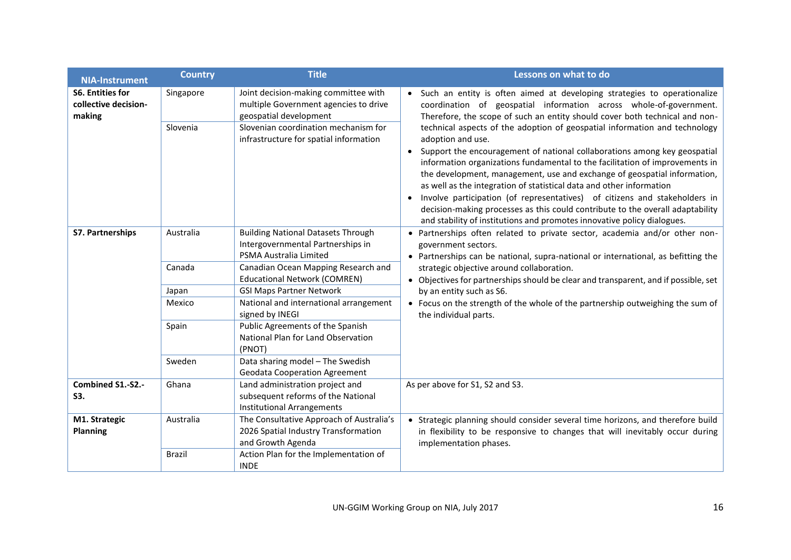| <b>NIA-Instrument</b>                                                                                                                                                                                                                                                                                                                                  | <b>Country</b>        | <b>Title</b>                                                                                                                                                                              | Lessons on what to do                                                                                                                                                                                                                                                                                                                                                                                                                                                                                                                                                                                                                                                                                                                          |
|--------------------------------------------------------------------------------------------------------------------------------------------------------------------------------------------------------------------------------------------------------------------------------------------------------------------------------------------------------|-----------------------|-------------------------------------------------------------------------------------------------------------------------------------------------------------------------------------------|------------------------------------------------------------------------------------------------------------------------------------------------------------------------------------------------------------------------------------------------------------------------------------------------------------------------------------------------------------------------------------------------------------------------------------------------------------------------------------------------------------------------------------------------------------------------------------------------------------------------------------------------------------------------------------------------------------------------------------------------|
| <b>S6. Entities for</b><br>collective decision-<br>making                                                                                                                                                                                                                                                                                              | Singapore<br>Slovenia | Joint decision-making committee with<br>multiple Government agencies to drive<br>geospatial development<br>Slovenian coordination mechanism for<br>infrastructure for spatial information | • Such an entity is often aimed at developing strategies to operationalize<br>coordination of geospatial information across whole-of-government.<br>Therefore, the scope of such an entity should cover both technical and non-<br>technical aspects of the adoption of geospatial information and technology<br>adoption and use.<br>Support the encouragement of national collaborations among key geospatial<br>$\bullet$<br>information organizations fundamental to the facilitation of improvements in<br>the development, management, use and exchange of geospatial information,<br>as well as the integration of statistical data and other information<br>Involve participation (of representatives) of citizens and stakeholders in |
|                                                                                                                                                                                                                                                                                                                                                        |                       |                                                                                                                                                                                           | decision-making processes as this could contribute to the overall adaptability<br>and stability of institutions and promotes innovative policy dialogues.                                                                                                                                                                                                                                                                                                                                                                                                                                                                                                                                                                                      |
| S7. Partnerships<br><b>Building National Datasets Through</b><br>Australia<br>Intergovernmental Partnerships in<br>PSMA Australia Limited<br>Canada<br><b>Educational Network (COMREN)</b><br><b>GSI Maps Partner Network</b><br>Japan<br>Mexico<br>signed by INEGI<br>Public Agreements of the Spanish<br>Spain<br>National Plan for Land Observation |                       | • Partnerships often related to private sector, academia and/or other non-<br>government sectors.<br>• Partnerships can be national, supra-national or international, as befitting the    |                                                                                                                                                                                                                                                                                                                                                                                                                                                                                                                                                                                                                                                                                                                                                |
|                                                                                                                                                                                                                                                                                                                                                        |                       | Canadian Ocean Mapping Research and                                                                                                                                                       | strategic objective around collaboration.<br>• Objectives for partnerships should be clear and transparent, and if possible, set                                                                                                                                                                                                                                                                                                                                                                                                                                                                                                                                                                                                               |
|                                                                                                                                                                                                                                                                                                                                                        |                       |                                                                                                                                                                                           | by an entity such as S6.                                                                                                                                                                                                                                                                                                                                                                                                                                                                                                                                                                                                                                                                                                                       |
|                                                                                                                                                                                                                                                                                                                                                        |                       | National and international arrangement                                                                                                                                                    | • Focus on the strength of the whole of the partnership outweighing the sum of<br>the individual parts.                                                                                                                                                                                                                                                                                                                                                                                                                                                                                                                                                                                                                                        |
|                                                                                                                                                                                                                                                                                                                                                        |                       | (PNOT)                                                                                                                                                                                    |                                                                                                                                                                                                                                                                                                                                                                                                                                                                                                                                                                                                                                                                                                                                                |
|                                                                                                                                                                                                                                                                                                                                                        | Sweden                | Data sharing model - The Swedish<br><b>Geodata Cooperation Agreement</b>                                                                                                                  |                                                                                                                                                                                                                                                                                                                                                                                                                                                                                                                                                                                                                                                                                                                                                |
| Combined S1.-S2.-<br>S3.                                                                                                                                                                                                                                                                                                                               | Ghana                 | Land administration project and<br>subsequent reforms of the National<br><b>Institutional Arrangements</b>                                                                                | As per above for S1, S2 and S3.                                                                                                                                                                                                                                                                                                                                                                                                                                                                                                                                                                                                                                                                                                                |
| M1. Strategic<br><b>Planning</b>                                                                                                                                                                                                                                                                                                                       | Australia             | The Consultative Approach of Australia's<br>2026 Spatial Industry Transformation<br>and Growth Agenda                                                                                     | • Strategic planning should consider several time horizons, and therefore build<br>in flexibility to be responsive to changes that will inevitably occur during<br>implementation phases.                                                                                                                                                                                                                                                                                                                                                                                                                                                                                                                                                      |
|                                                                                                                                                                                                                                                                                                                                                        | <b>Brazil</b>         | Action Plan for the Implementation of<br><b>INDE</b>                                                                                                                                      |                                                                                                                                                                                                                                                                                                                                                                                                                                                                                                                                                                                                                                                                                                                                                |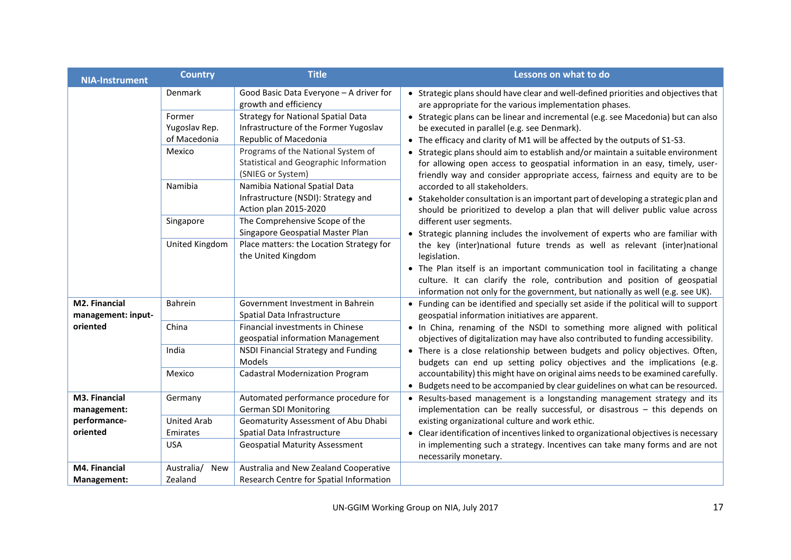| <b>NIA-Instrument</b>               | <b>Country</b>                                               | <b>Title</b>                                                                                                                                                                                                                                                                                                      | Lessons on what to do                                                                                                                                                                                                                                                                                                                                                                                                                                                                                                                                                                                                                                                     |
|-------------------------------------|--------------------------------------------------------------|-------------------------------------------------------------------------------------------------------------------------------------------------------------------------------------------------------------------------------------------------------------------------------------------------------------------|---------------------------------------------------------------------------------------------------------------------------------------------------------------------------------------------------------------------------------------------------------------------------------------------------------------------------------------------------------------------------------------------------------------------------------------------------------------------------------------------------------------------------------------------------------------------------------------------------------------------------------------------------------------------------|
|                                     | Denmark                                                      | Good Basic Data Everyone - A driver for<br>growth and efficiency                                                                                                                                                                                                                                                  | • Strategic plans should have clear and well-defined priorities and objectives that<br>are appropriate for the various implementation phases.                                                                                                                                                                                                                                                                                                                                                                                                                                                                                                                             |
|                                     | Former<br>Yugoslav Rep.<br>of Macedonia<br>Mexico<br>Namibia | <b>Strategy for National Spatial Data</b><br>Infrastructure of the Former Yugoslav<br>Republic of Macedonia<br>Programs of the National System of<br>Statistical and Geographic Information<br>(SNIEG or System)<br>Namibia National Spatial Data<br>Infrastructure (NSDI): Strategy and<br>Action plan 2015-2020 | • Strategic plans can be linear and incremental (e.g. see Macedonia) but can also<br>be executed in parallel (e.g. see Denmark).<br>• The efficacy and clarity of M1 will be affected by the outputs of S1-S3.<br>• Strategic plans should aim to establish and/or maintain a suitable environment<br>for allowing open access to geospatial information in an easy, timely, user-<br>friendly way and consider appropriate access, fairness and equity are to be<br>accorded to all stakeholders.<br>• Stakeholder consultation is an important part of developing a strategic plan and<br>should be prioritized to develop a plan that will deliver public value across |
|                                     | Singapore<br>United Kingdom                                  | The Comprehensive Scope of the<br>Singapore Geospatial Master Plan<br>Place matters: the Location Strategy for<br>the United Kingdom                                                                                                                                                                              | different user segments.<br>• Strategic planning includes the involvement of experts who are familiar with<br>the key (inter)national future trends as well as relevant (inter)national                                                                                                                                                                                                                                                                                                                                                                                                                                                                                   |
|                                     |                                                              |                                                                                                                                                                                                                                                                                                                   | legislation.<br>• The Plan itself is an important communication tool in facilitating a change<br>culture. It can clarify the role, contribution and position of geospatial<br>information not only for the government, but nationally as well (e.g. see UK).                                                                                                                                                                                                                                                                                                                                                                                                              |
| M2. Financial<br>management: input- | Bahrein                                                      | Government Investment in Bahrein<br>Spatial Data Infrastructure                                                                                                                                                                                                                                                   | • Funding can be identified and specially set aside if the political will to support<br>geospatial information initiatives are apparent.                                                                                                                                                                                                                                                                                                                                                                                                                                                                                                                                  |
| oriented                            | China                                                        | Financial investments in Chinese<br>geospatial information Management                                                                                                                                                                                                                                             | • In China, renaming of the NSDI to something more aligned with political<br>objectives of digitalization may have also contributed to funding accessibility.                                                                                                                                                                                                                                                                                                                                                                                                                                                                                                             |
|                                     | India                                                        | NSDI Financial Strategy and Funding<br>Models                                                                                                                                                                                                                                                                     | • There is a close relationship between budgets and policy objectives. Often,<br>budgets can end up setting policy objectives and the implications (e.g.                                                                                                                                                                                                                                                                                                                                                                                                                                                                                                                  |
|                                     | Mexico                                                       | <b>Cadastral Modernization Program</b>                                                                                                                                                                                                                                                                            | accountability) this might have on original aims needs to be examined carefully.<br>• Budgets need to be accompanied by clear guidelines on what can be resourced.                                                                                                                                                                                                                                                                                                                                                                                                                                                                                                        |
| M3. Financial<br>management:        | Germany                                                      | Automated performance procedure for<br><b>German SDI Monitoring</b>                                                                                                                                                                                                                                               | • Results-based management is a longstanding management strategy and its<br>implementation can be really successful, or disastrous - this depends on                                                                                                                                                                                                                                                                                                                                                                                                                                                                                                                      |
| performance-<br>oriented            | <b>United Arab</b><br>Emirates<br><b>USA</b>                 | Geomaturity Assessment of Abu Dhabi<br>Spatial Data Infrastructure<br><b>Geospatial Maturity Assessment</b>                                                                                                                                                                                                       | existing organizational culture and work ethic.<br>• Clear identification of incentives linked to organizational objectives is necessary<br>in implementing such a strategy. Incentives can take many forms and are not                                                                                                                                                                                                                                                                                                                                                                                                                                                   |
| M4. Financial<br>Management:        | Australia/<br>New<br>Zealand                                 | Australia and New Zealand Cooperative<br>Research Centre for Spatial Information                                                                                                                                                                                                                                  | necessarily monetary.                                                                                                                                                                                                                                                                                                                                                                                                                                                                                                                                                                                                                                                     |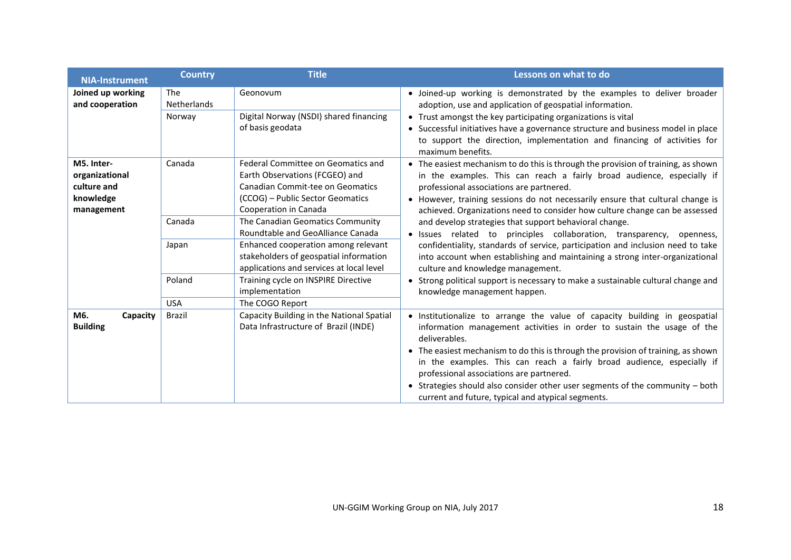| <b>NIA-Instrument</b>                                                  | <b>Country</b>                      | <b>Title</b>                                                                                                                                                                                                            | Lessons on what to do                                                                                                                                                                                                                                                                                                                                                                                                                                                                                                   |
|------------------------------------------------------------------------|-------------------------------------|-------------------------------------------------------------------------------------------------------------------------------------------------------------------------------------------------------------------------|-------------------------------------------------------------------------------------------------------------------------------------------------------------------------------------------------------------------------------------------------------------------------------------------------------------------------------------------------------------------------------------------------------------------------------------------------------------------------------------------------------------------------|
| Joined up working<br>and cooperation                                   | The<br><b>Netherlands</b><br>Norway | Geonovum<br>Digital Norway (NSDI) shared financing<br>of basis geodata                                                                                                                                                  | · Joined-up working is demonstrated by the examples to deliver broader<br>adoption, use and application of geospatial information.<br>• Trust amongst the key participating organizations is vital<br>• Successful initiatives have a governance structure and business model in place<br>to support the direction, implementation and financing of activities for<br>maximum benefits.                                                                                                                                 |
| M5. Inter-<br>organizational<br>culture and<br>knowledge<br>management | Canada<br>Canada                    | Federal Committee on Geomatics and<br>Earth Observations (FCGEO) and<br><b>Canadian Commit-tee on Geomatics</b><br>(CCOG) - Public Sector Geomatics<br>Cooperation in Canada<br>The Canadian Geomatics Community        | • The easiest mechanism to do this is through the provision of training, as shown<br>in the examples. This can reach a fairly broad audience, especially if<br>professional associations are partnered.<br>• However, training sessions do not necessarily ensure that cultural change is<br>achieved. Organizations need to consider how culture change can be assessed<br>and develop strategies that support behavioral change.                                                                                      |
|                                                                        | Japan<br>Poland                     | Roundtable and GeoAlliance Canada<br>Enhanced cooperation among relevant<br>stakeholders of geospatial information<br>applications and services at local level<br>Training cycle on INSPIRE Directive<br>implementation | • Issues related to principles collaboration, transparency, openness,<br>confidentiality, standards of service, participation and inclusion need to take<br>into account when establishing and maintaining a strong inter-organizational<br>culture and knowledge management.<br>• Strong political support is necessary to make a sustainable cultural change and<br>knowledge management happen.                                                                                                                      |
| M6.<br>Capacity<br><b>Building</b>                                     | <b>USA</b><br><b>Brazil</b>         | The COGO Report<br>Capacity Building in the National Spatial<br>Data Infrastructure of Brazil (INDE)                                                                                                                    | · Institutionalize to arrange the value of capacity building in geospatial<br>information management activities in order to sustain the usage of the<br>deliverables.<br>• The easiest mechanism to do this is through the provision of training, as shown<br>in the examples. This can reach a fairly broad audience, especially if<br>professional associations are partnered.<br>• Strategies should also consider other user segments of the community - both<br>current and future, typical and atypical segments. |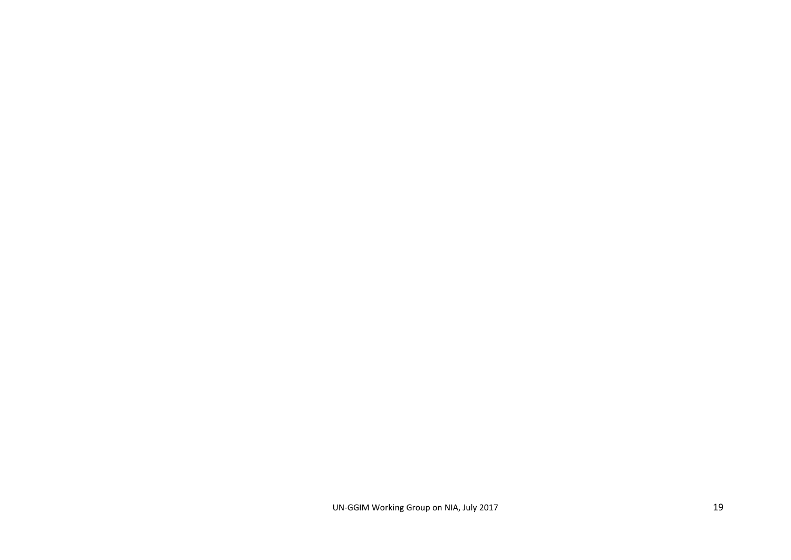UN-GGIM Working Group on NIA, July 2017 19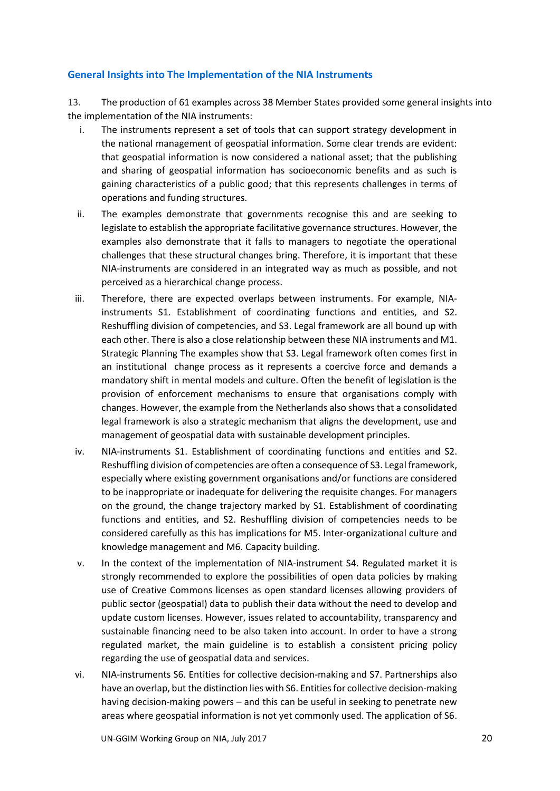#### **General Insights into The Implementation of the NIA Instruments**

13. The production of 61 examples across 38 Member States provided some general insights into the implementation of the NIA instruments:

- i. The instruments represent a set of tools that can support strategy development in the national management of geospatial information. Some clear trends are evident: that geospatial information is now considered a national asset; that the publishing and sharing of geospatial information has socioeconomic benefits and as such is gaining characteristics of a public good; that this represents challenges in terms of operations and funding structures.
- ii. The examples demonstrate that governments recognise this and are seeking to legislate to establish the appropriate facilitative governance structures. However, the examples also demonstrate that it falls to managers to negotiate the operational challenges that these structural changes bring. Therefore, it is important that these NIA-instruments are considered in an integrated way as much as possible, and not perceived as a hierarchical change process.
- iii. Therefore, there are expected overlaps between instruments. For example, NIAinstruments S1. Establishment of coordinating functions and entities, and S2. Reshuffling division of competencies, and S3. Legal framework are all bound up with each other. There is also a close relationship between these NIA instruments and M1. Strategic Planning The examples show that S3. Legal framework often comes first in an institutional change process as it represents a coercive force and demands a mandatory shift in mental models and culture. Often the benefit of legislation is the provision of enforcement mechanisms to ensure that organisations comply with changes. However, the example from the Netherlands also shows that a consolidated legal framework is also a strategic mechanism that aligns the development, use and management of geospatial data with sustainable development principles.
- iv. NIA-instruments S1. Establishment of coordinating functions and entities and S2. Reshuffling division of competencies are often a consequence of S3. Legal framework, especially where existing government organisations and/or functions are considered to be inappropriate or inadequate for delivering the requisite changes. For managers on the ground, the change trajectory marked by S1. Establishment of coordinating functions and entities, and S2. Reshuffling division of competencies needs to be considered carefully as this has implications for M5. Inter-organizational culture and knowledge management and M6. Capacity building.
- v. In the context of the implementation of NIA-instrument S4. Regulated market it is strongly recommended to explore the possibilities of open data policies by making use of Creative Commons licenses as open standard licenses allowing providers of public sector (geospatial) data to publish their data without the need to develop and update custom licenses. However, issues related to accountability, transparency and sustainable financing need to be also taken into account. In order to have a strong regulated market, the main guideline is to establish a consistent pricing policy regarding the use of geospatial data and services.
- vi. NIA-instruments S6. Entities for collective decision-making and S7. Partnerships also have an overlap, but the distinction lies with S6. Entities for collective decision-making having decision-making powers – and this can be useful in seeking to penetrate new areas where geospatial information is not yet commonly used. The application of S6.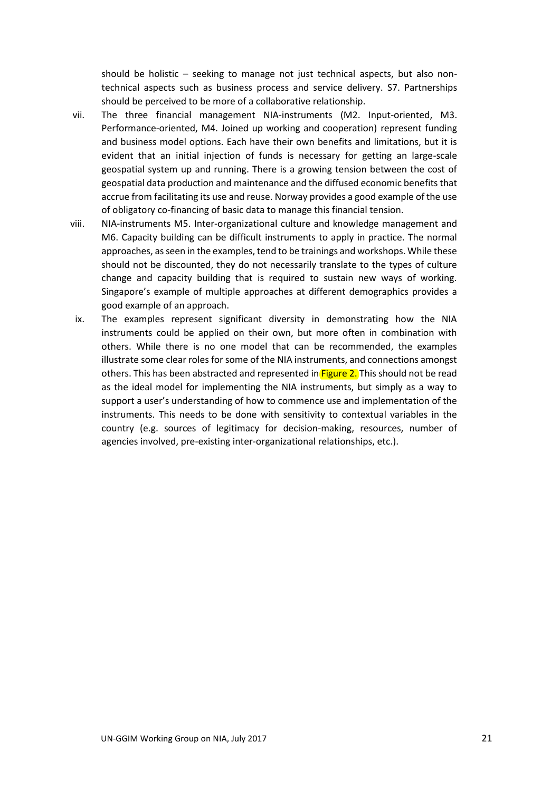should be holistic – seeking to manage not just technical aspects, but also nontechnical aspects such as business process and service delivery. S7. Partnerships should be perceived to be more of a collaborative relationship.

- vii. The three financial management NIA-instruments (M2. Input-oriented, M3. Performance-oriented, M4. Joined up working and cooperation) represent funding and business model options. Each have their own benefits and limitations, but it is evident that an initial injection of funds is necessary for getting an large-scale geospatial system up and running. There is a growing tension between the cost of geospatial data production and maintenance and the diffused economic benefits that accrue from facilitating its use and reuse. Norway provides a good example of the use of obligatory co-financing of basic data to manage this financial tension.
- viii. NIA-instruments M5. Inter-organizational culture and knowledge management and M6. Capacity building can be difficult instruments to apply in practice. The normal approaches, as seen in the examples, tend to be trainings and workshops. While these should not be discounted, they do not necessarily translate to the types of culture change and capacity building that is required to sustain new ways of working. Singapore's example of multiple approaches at different demographics provides a good example of an approach.
- ix. The examples represent significant diversity in demonstrating how the NIA instruments could be applied on their own, but more often in combination with others. While there is no one model that can be recommended, the examples illustrate some clear roles for some of the NIA instruments, and connections amongst others. This has been abstracted and represented in Figure 2. This should not be read as the ideal model for implementing the NIA instruments, but simply as a way to support a user's understanding of how to commence use and implementation of the instruments. This needs to be done with sensitivity to contextual variables in the country (e.g. sources of legitimacy for decision-making, resources, number of agencies involved, pre-existing inter-organizational relationships, etc.).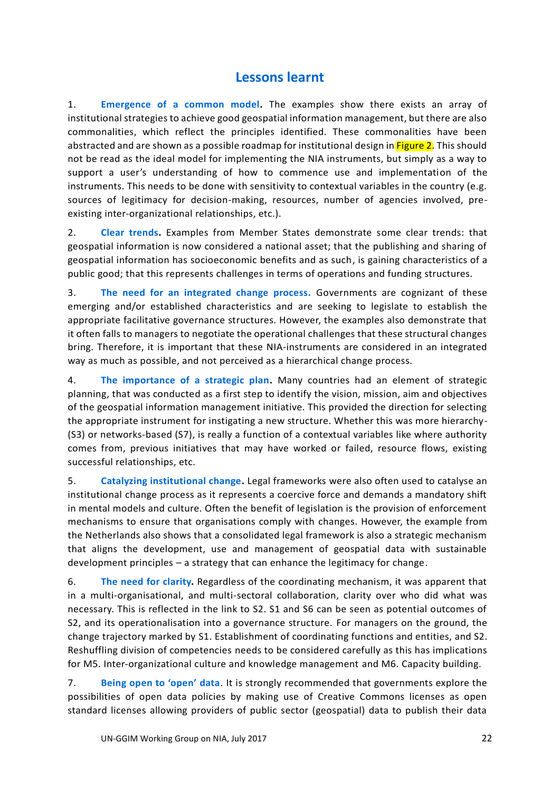### **Lessons learnt**

1. **Emergence of a common model.** The examples show there exists an array of institutional strategies to achieve good geospatial information management, but there are also commonalities, which reflect the principles identified. These commonalities have been abstracted and are shown as a possible roadmap for institutional design in **Figure 2**. This should not be read as the ideal model for implementing the NIA instruments, but simply as a way to support a user's understanding of how to commence use and implementation of the instruments. This needs to be done with sensitivity to contextual variables in the country (e.g. sources of legitimacy for decision-making, resources, number of agencies involved, preexisting inter-organizational relationships, etc.).

2. **Clear trends.** Examples from Member States demonstrate some clear trends: that geospatial information is now considered a national asset; that the publishing and sharing of geospatial information has socioeconomic benefits and as such, is gaining characteristics of a public good; that this represents challenges in terms of operations and funding structures.

3. **The need for an integrated change process.** Governments are cognizant of these emerging and/or established characteristics and are seeking to legislate to establish the appropriate facilitative governance structures. However, the examples also demonstrate that it often falls to managers to negotiate the operational challenges that these structural changes bring. Therefore, it is important that these NIA-instruments are considered in an integrated way as much as possible, and not perceived as a hierarchical change process.

4. **The importance of a strategic plan.** Many countries had an element of strategic planning, that was conducted as a first step to identify the vision, mission, aim and objectives of the geospatial information management initiative. This provided the direction for selecting the appropriate instrument for instigating a new structure. Whether this was more hierarchy- (S3) or networks-based (S7), is really a function of a contextual variables like where authority comes from, previous initiatives that may have worked or failed, resource flows, existing successful relationships, etc.

5. **Catalyzing institutional change.** Legal frameworks were also often used to catalyse an institutional change process as it represents a coercive force and demands a mandatory shift in mental models and culture. Often the benefit of legislation is the provision of enforcement mechanisms to ensure that organisations comply with changes. However, the example from the Netherlands also shows that a consolidated legal framework is also a strategic mechanism that aligns the development, use and management of geospatial data with sustainable development principles – a strategy that can enhance the legitimacy for change.

6. **The need for clarity.** Regardless of the coordinating mechanism, it was apparent that in a multi-organisational, and multi-sectoral collaboration, clarity over who did what was necessary. This is reflected in the link to S2. S1 and S6 can be seen as potential outcomes of S2, and its operationalisation into a governance structure. For managers on the ground, the change trajectory marked by S1. Establishment of coordinating functions and entities, and S2. Reshuffling division of competencies needs to be considered carefully as this has implications for M5. Inter-organizational culture and knowledge management and M6. Capacity building.

7. **Being open to 'open' data**. It is strongly recommended that governments explore the possibilities of open data policies by making use of Creative Commons licenses as open standard licenses allowing providers of public sector (geospatial) data to publish their data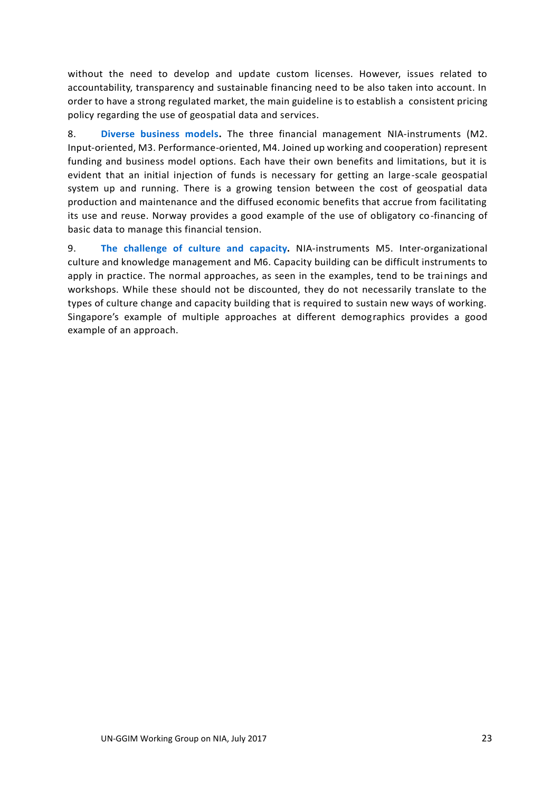without the need to develop and update custom licenses. However, issues related to accountability, transparency and sustainable financing need to be also taken into account. In order to have a strong regulated market, the main guideline is to establish a consistent pricing policy regarding the use of geospatial data and services.

8. **Diverse business models.** The three financial management NIA-instruments (M2. Input-oriented, M3. Performance-oriented, M4. Joined up working and cooperation) represent funding and business model options. Each have their own benefits and limitations, but it is evident that an initial injection of funds is necessary for getting an large-scale geospatial system up and running. There is a growing tension between the cost of geospatial data production and maintenance and the diffused economic benefits that accrue from facilitating its use and reuse. Norway provides a good example of the use of obligatory co-financing of basic data to manage this financial tension.

9. **The challenge of culture and capacity.** NIA-instruments M5. Inter-organizational culture and knowledge management and M6. Capacity building can be difficult instruments to apply in practice. The normal approaches, as seen in the examples, tend to be trainings and workshops. While these should not be discounted, they do not necessarily translate to the types of culture change and capacity building that is required to sustain new ways of working. Singapore's example of multiple approaches at different demographics provides a good example of an approach.